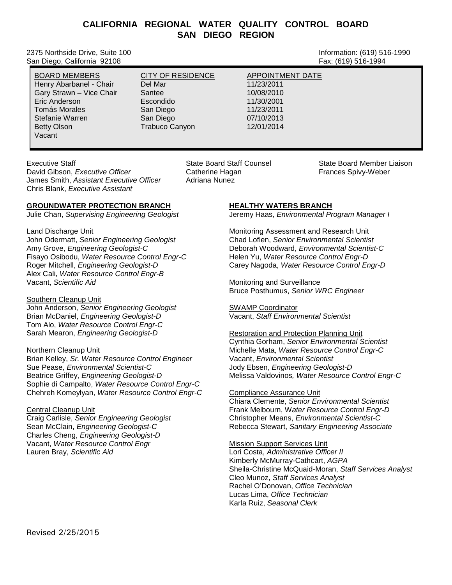# **CALIFORNIA REGIONAL WATER QUALITY CONTROL BOARD SAN DIEGO REGION**

2375 Northside Drive, Suite 100 and Suite 100 and Suite 100 and Suite 100 and Suite 100 and Suite 100 and Suite 100 San Diego, California 92108 Fax: (619) 516-1994

BOARD MEMBERS CITY OF RESIDENCE APPOINTMENT DATE Henry Abarbanel - Chair Del Mar 11/23/2011 Gary Strawn – Vice Chair Santee 10/08/2010<br>11/30/2001 - First Louis Condido 11/30/2001 Eric Anderson Escondido 11/30/2001 Tomás Morales San Diego 11/23/2011 Stefanie Warren San Diego 07/10/2013 Betty Olson **Trabuco Canyon** 777 Trabuco Canyon 12/01/2014 Vacant

Executive Staff State State State Board State Board State Counsel State Board Member Liaison

David Gibson, *Executive Officer* **Catherine Hagan** Frances Spivy-Weber Catherine Hagan Frances Spivy-Weber<br>James Smith, Assistant Executive Officer Adriana Nunez James Smith, *Assistant Executive Officer* Chris Blank, *Executive Assistant*

## **GROUNDWATER PROTECTION BRANCH**

Julie Chan, *Supervising Engineering Geologist*

Land Discharge Unit John Odermatt, *Senior Engineering Geologist* Amy Grove, *Engineering Geologist-C* Fisayo Osibodu, *Water Resource Control Engr-C* Roger Mitchell, *Engineering Geologist-D* Alex Cali, *Water Resource Control Engr-B* Vacant, *Scientific Aid*

Southern Cleanup Unit John Anderson, *Senior Engineering Geologist* Brian McDaniel, *Engineering Geologist-D* Tom Alo, *Water Resource Control Engr-C* Sarah Mearon, *Engineering Geologist-D*

#### Northern Cleanup Unit

Brian Kelley, *Sr. Water Resource Control Engineer* Sue Pease, *Environmental Scientist-C* Beatrice Griffey, *Engineering Geologist-D* Sophie di Campalto, *Water Resource Control Engr-C* Chehreh Komeylyan, *Water Resource Control Engr-C*

#### Central Cleanup Unit

Craig Carlisle, *Senior Engineering Geologist* Sean McClain, *Engineering Geologist-C* Charles Cheng, *Engineering Geologist-D* Vacant, *Water Resource Control Engr* Lauren Bray, *Scientific Aid*

**HEALTHY WATERS BRANCH**

Jeremy Haas, *Environmental Program Manager I*

Monitoring Assessment and Research Unit Chad Loflen, *Senior Environmental Scientist* Deborah Woodward, *Environmental Scientist-C* Helen Yu, *Water Resource Control Engr-D* Carey Nagoda, *Water Resource Control Engr-D*

Monitoring and Surveillance Bruce Posthumus, *Senior WRC Engineer*

SWAMP Coordinator Vacant, *Staff Environmental Scientist*

Restoration and Protection Planning Unit Cynthia Gorham, *Senior Environmental Scientist* Michelle Mata, *Water Resource Control Engr-C* Vacant, *Environmental Scientist* Jody Ebsen, *Engineering Geologist-D* Melissa Valdovinos*, Water Resource Control Engr-C*

#### Compliance Assurance Unit

Chiara Clemente, *Senior Environmental Scientist* Frank Melbourn, W*ater Resource Control Engr-D* Christopher Means, *Environmental Scientist-C* Rebecca Stewart, *Sanitary Engineering Associate*

Mission Support Services Unit

Lori Costa, *Administrative Officer II* Kimberly McMurray-Cathcart, *AGPA* Sheila-Christine McQuaid-Moran, *Staff Services Analyst* Cleo Munoz, *Staff Services Analyst* Rachel O'Donovan, *Office Technician* Lucas Lima, *Office Technician* Karla Ruiz, *Seasonal Clerk*